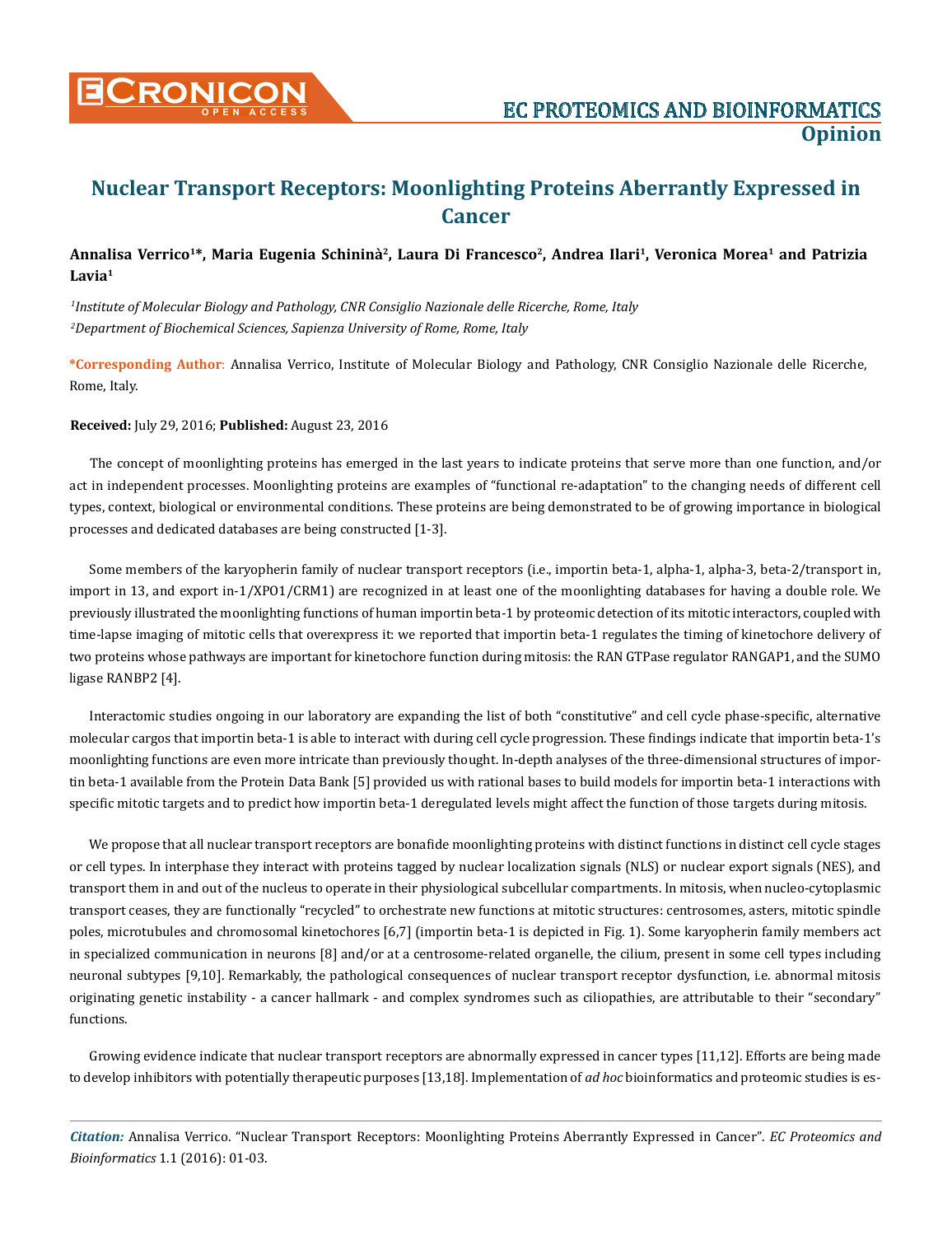

# **Nuclear Transport Receptors: Moonlighting Proteins Aberrantly Expressed in Cancer**

## **Annalisa Verrico1\*, Maria Eugenia Schininà2, Laura Di Francesco2, Andrea Ilari1, Veronica Morea1 and Patrizia Lavia1**

*1 Institute of Molecular Biology and Pathology, CNR Consiglio Nazionale delle Ricerche, Rome, Italy 2 Department of Biochemical Sciences, Sapienza University of Rome, Rome, Italy*

**\*Corresponding Author**: Annalisa Verrico, Institute of Molecular Biology and Pathology, CNR Consiglio Nazionale delle Ricerche, Rome, Italy.

**Received:** July 29, 2016; **Published:** August 23, 2016

The concept of moonlighting proteins has emerged in the last years to indicate proteins that serve more than one function, and/or act in independent processes. Moonlighting proteins are examples of "functional re-adaptation" to the changing needs of different cell types, context, biological or environmental conditions. These proteins are being demonstrated to be of growing importance in biological processes and dedicated databases are being constructed [1-3].

Some members of the karyopherin family of nuclear transport receptors (i.e., importin beta-1, alpha-1, alpha-3, beta-2/transport in, import in 13, and export in-1/XPO1/CRM1) are recognized in at least one of the moonlighting databases for having a double role. We previously illustrated the moonlighting functions of human importin beta-1 by proteomic detection of its mitotic interactors, coupled with time-lapse imaging of mitotic cells that overexpress it: we reported that importin beta-1 regulates the timing of kinetochore delivery of two proteins whose pathways are important for kinetochore function during mitosis: the RAN GTPase regulator RANGAP1, and the SUMO ligase RANBP2 [4].

Interactomic studies ongoing in our laboratory are expanding the list of both "constitutive" and cell cycle phase-specific, alternative molecular cargos that importin beta-1 is able to interact with during cell cycle progression. These findings indicate that importin beta-1's moonlighting functions are even more intricate than previously thought. In-depth analyses of the three-dimensional structures of importin beta-1 available from the Protein Data Bank [5] provided us with rational bases to build models for importin beta-1 interactions with specific mitotic targets and to predict how importin beta-1 deregulated levels might affect the function of those targets during mitosis.

We propose that all nuclear transport receptors are bonafide moonlighting proteins with distinct functions in distinct cell cycle stages or cell types. In interphase they interact with proteins tagged by nuclear localization signals (NLS) or nuclear export signals (NES), and transport them in and out of the nucleus to operate in their physiological subcellular compartments. In mitosis, when nucleo-cytoplasmic transport ceases, they are functionally "recycled" to orchestrate new functions at mitotic structures: centrosomes, asters, mitotic spindle poles, microtubules and chromosomal kinetochores [6,7] (importin beta-1 is depicted in Fig. 1). Some karyopherin family members act in specialized communication in neurons [8] and/or at a centrosome-related organelle, the cilium, present in some cell types including neuronal subtypes [9,10]. Remarkably, the pathological consequences of nuclear transport receptor dysfunction, i.e. abnormal mitosis originating genetic instability - a cancer hallmark - and complex syndromes such as ciliopathies, are attributable to their "secondary" functions.

Growing evidence indicate that nuclear transport receptors are abnormally expressed in cancer types [11,12]. Efforts are being made to develop inhibitors with potentially therapeutic purposes [13,18]. Implementation of *ad hoc* bioinformatics and proteomic studies is es-

*Citation:* Annalisa Verrico. "Nuclear Transport Receptors: Moonlighting Proteins Aberrantly Expressed in Cancer". *EC Proteomics and Bioinformatics* 1.1 (2016): 01-03.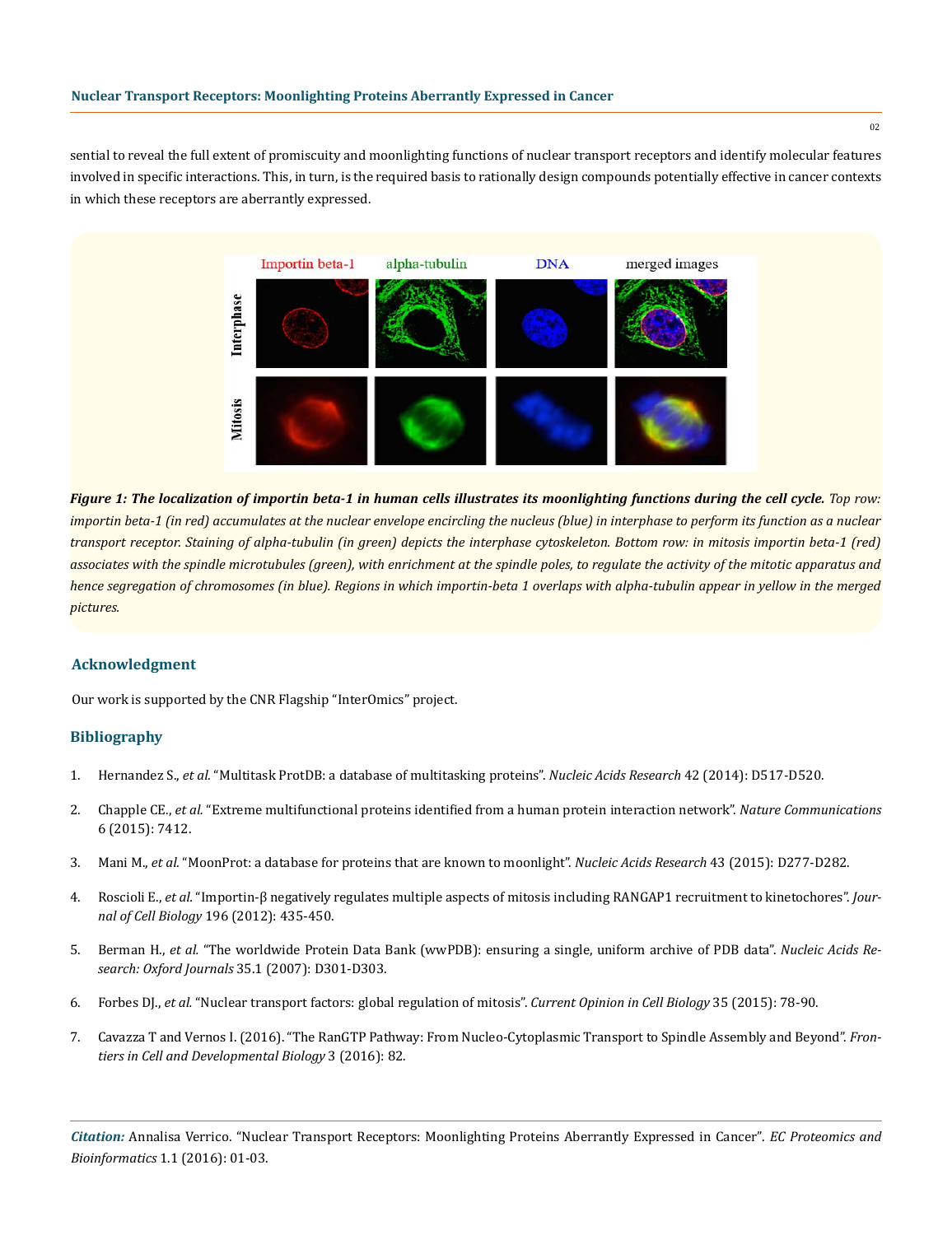sential to reveal the full extent of promiscuity and moonlighting functions of nuclear transport receptors and identify molecular features involved in specific interactions. This, in turn, is the required basis to rationally design compounds potentially effective in cancer contexts in which these receptors are aberrantly expressed.



*Figure 1: The localization of importin beta-1 in human cells illustrates its moonlighting functions during the cell cycle. Top row: importin beta-1 (in red) accumulates at the nuclear envelope encircling the nucleus (blue) in interphase to perform its function as a nuclear transport receptor. Staining of alpha-tubulin (in green) depicts the interphase cytoskeleton. Bottom row: in mitosis importin beta-1 (red) associates with the spindle microtubules (green), with enrichment at the spindle poles, to regulate the activity of the mitotic apparatus and hence segregation of chromosomes (in blue). Regions in which importin-beta 1 overlaps with alpha-tubulin appear in yellow in the merged pictures.*

#### **Acknowledgment**

Our work is supported by the CNR Flagship "InterOmics" project.

### **Bibliography**

- 1. Hernandez S., *et al.* ["Multitask ProtDB: a database of multitasking proteins".](http://www.ncbi.nlm.nih.gov/pubmed/24253302) *Nucleic Acids Research* 42 (2014): D517-D520.
- 2. Chapple CE., *et al.* ["Extreme multifunctional proteins identified from a human protein interaction network".](http://www.nature.com/ncomms/2015/150609/ncomms8412/full/ncomms8412.html) *Nature Communications* [6 \(2015\): 7412.](http://www.nature.com/ncomms/2015/150609/ncomms8412/full/ncomms8412.html)
- 3. Mani M., *et al.* ["MoonProt: a database for proteins that are known to moonlight".](http://www.ncbi.nlm.nih.gov/pubmed/25324305) *Nucleic Acids Research* 43 (2015): D277-D282.
- 4. Roscioli E., *et al.* ["Importin-β negatively regulates multiple aspects of mitosis including RANGAP1 recruitment to kinetochores".](http://www.ncbi.nlm.nih.gov/pubmed/22331847) *Journal of Cell Biology* [196 \(2012\): 435-450.](http://www.ncbi.nlm.nih.gov/pubmed/22331847)
- 5. Berman H., *et al.* ["The worldwide Protein Data Bank \(wwPDB\): ensuring a single, uniform archive of PDB data".](http://www.ncbi.nlm.nih.gov/pubmed/17142228) *Nucleic Acids Research: Oxford Journals* [35.1 \(2007\): D301-D303.](http://www.ncbi.nlm.nih.gov/pubmed/17142228)
- 6. Forbes DJ., *et al.* ["Nuclear transport factors: global regulation of mitosis".](http://www.ncbi.nlm.nih.gov/pubmed/25982429) *Current Opinion in Cell Biology* 35 (2015): 78-90.
- 7. [Cavazza T and Vernos I. \(2016\). "The RanGTP Pathway: From Nucleo-Cytoplasmic Transport to Spindle Assembly and Beyond".](http://www.ncbi.nlm.nih.gov/pubmed/26793706) *Fron[tiers in Cell and Developmental Biology](http://www.ncbi.nlm.nih.gov/pubmed/26793706)* 3 (2016): 82.

*Citation:* Annalisa Verrico. "Nuclear Transport Receptors: Moonlighting Proteins Aberrantly Expressed in Cancer". *EC Proteomics and Bioinformatics* 1.1 (2016): 01-03.

 $0<sub>2</sub>$